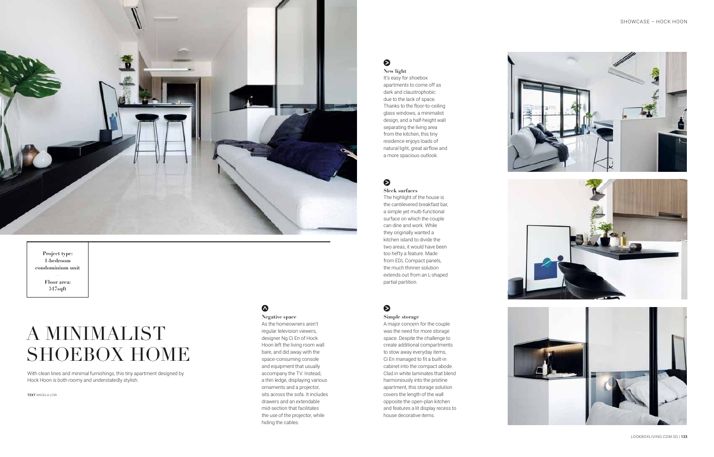# A MINIMALIST SHOEBOX HOME

With clean lines and minimal furnishings, this tiny apartment designed by Hock Hoon is both roomy and understatedly stylish.

TEXT ANGELA LOW

## $\boldsymbol{\Omega}$



#### **Project type: 1-bedroom condominium unit**

**– Floor area: 517sqft** 

**New light** It's easy for shoebox apartments to come off as dark and claustrophobic due to the lack of space. Thanks to the floor-to-ceiling glass windows, a minimalist design, and a half-height wall separating the living area from the kitchen, this tiny residence enjoys loads of natural light, great airflow and a more spacious outlook.

## $\bullet$

**Negative space**  As the homeowners aren't regular television viewers, designer Ng Ci En of Hock Hoon left the living room wall bare, and did away with the space-consuming console and equipment that usually accompany the TV. Instead, a thin ledge, displaying various ornaments and a projector, sits across the sofa. It includes drawers and an extendable mid-section that facilitates the use of the projector, while hiding the cables.

# $\bullet$

**Sleek surfaces**  The highlight of the house is the cantilevered breakfast bar, a simple yet multi-functional surface on which the couple can dine and work. While they originally wanted a kitchen island to divide the two areas, it would have been too hefty a feature. Made from EDL Compact panels, the much thinner solution extends out from an L-shaped partial partition.

## $\bullet$

**Simple storage** A major concern for the couple was the need for more storage space. Despite the challenge to create additional compartments to stow away everyday items, Ci En managed to fit a built-in cabinet into the compact abode. Clad in white laminates that blend harmoniously into the pristine apartment, this storage solution covers the length of the wall opposite the open-plan kitchen and features a lit display recess to house decorative items.







132 | LOOKBOXLIVING.COM.SG LOOKBOXLIVING.COM.SG | 133